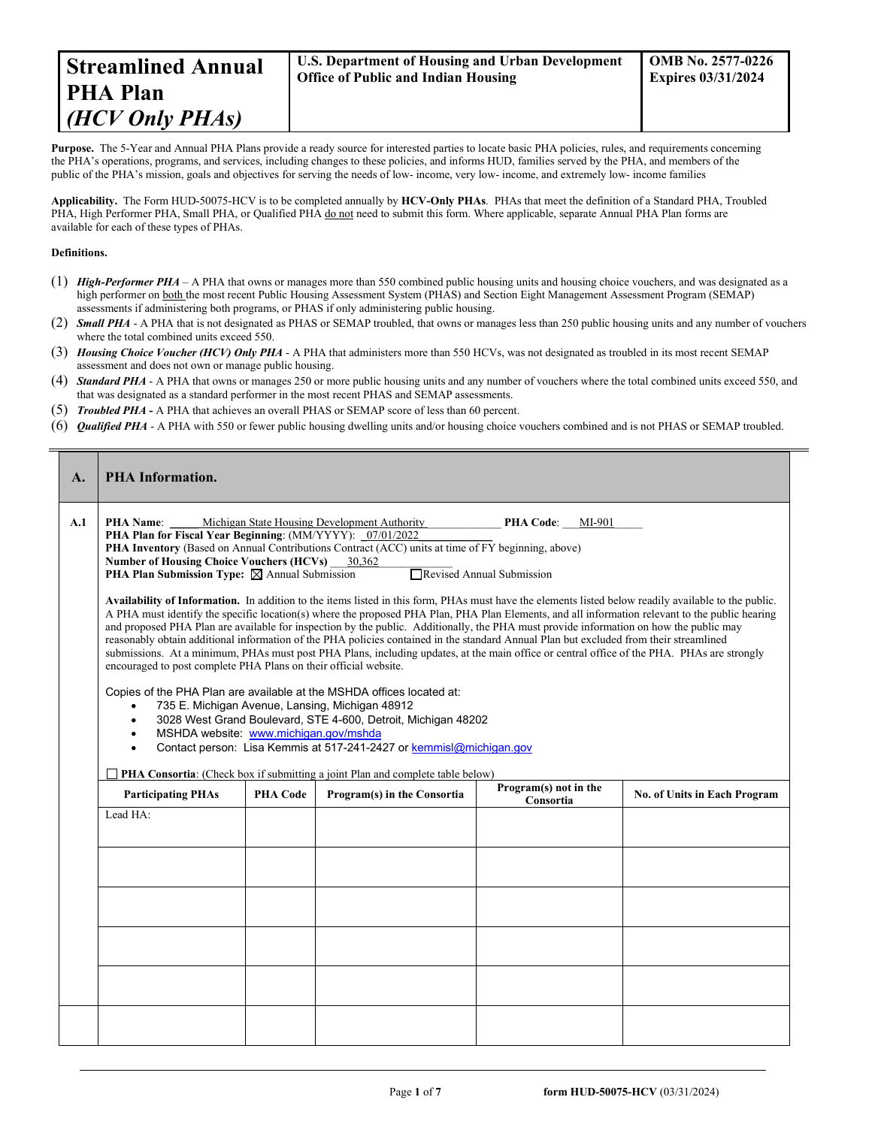Purpose. The 5-Year and Annual PHA Plans provide a ready source for interested parties to locate basic PHA policies, rules, and requirements concerning the PHA's operations, programs, and services, including changes to these policies, and informs HUD, families served by the PHA, and members of the public of the PHA's mission, goals and objectives for serving the needs of low- income, very low- income, and extremely low- income families

**Applicability.** The Form HUD-50075-HCV is to be completed annually by **HCV-Only PHAs**. PHAs that meet the definition of a Standard PHA, Troubled PHA, High Performer PHA, Small PHA, or Qualified PHA do not need to submit this form. Where applicable, separate Annual PHA Plan forms are available for each of these types of PHAs.

#### **Definitions.**

- (1) *High-Performer PHA* A PHA that owns or manages more than 550 combined public housing units and housing choice vouchers, and was designated as a high performer on both the most recent Public Housing Assessment System (PHAS) and Section Eight Management Assessment Program (SEMAP) assessments if administering both programs, or PHAS if only administering public housing.
- (2) *Small PHA* A PHA that is not designated as PHAS or SEMAP troubled, that owns or manages less than 250 public housing units and any number of vouchers where the total combined units exceed 550.
- (3) *Housing Choice Voucher (HCV) Only PHA* A PHA that administers more than 550 HCVs, was not designated as troubled in its most recent SEMAP assessment and does not own or manage public housing.
- (4) *Standard PHA* A PHA that owns or manages 250 or more public housing units and any number of vouchers where the total combined units exceed 550, and that was designated as a standard performer in the most recent PHAS and SEMAP assessments.
- (5) *Troubled PHA* **-** A PHA that achieves an overall PHAS or SEMAP score of less than 60 percent.
- (6) *Qualified PHA* A PHA with 550 or fewer public housing dwelling units and/or housing choice vouchers combined and is not PHAS or SEMAP troubled.

| $\mathbf{A}$ . | <b>PHA Information.</b>                                                                                                                                                                                                                                                                                                                                                                                                                                                                                                                                                                                                                                                                                                                                                                                                                                                                                                                                                                                                                                                                                                                                                                                                                                                                                                                            |                 |                             |           |                              |  |  |
|----------------|----------------------------------------------------------------------------------------------------------------------------------------------------------------------------------------------------------------------------------------------------------------------------------------------------------------------------------------------------------------------------------------------------------------------------------------------------------------------------------------------------------------------------------------------------------------------------------------------------------------------------------------------------------------------------------------------------------------------------------------------------------------------------------------------------------------------------------------------------------------------------------------------------------------------------------------------------------------------------------------------------------------------------------------------------------------------------------------------------------------------------------------------------------------------------------------------------------------------------------------------------------------------------------------------------------------------------------------------------|-----------------|-----------------------------|-----------|------------------------------|--|--|
| A.1            | <b>PHA Name:</b> Michigan State Housing Development Authority<br>PHA Code: MI-901<br>PHA Plan for Fiscal Year Beginning: (MM/YYYY): 07/01/2022<br>PHA Inventory (Based on Annual Contributions Contract (ACC) units at time of FY beginning, above)<br>Number of Housing Choice Vouchers (HCVs) 30,362<br><b>PHA Plan Submission Type:</b> $\boxtimes$ Annual Submission<br>Revised Annual Submission<br>Availability of Information. In addition to the items listed in this form, PHAs must have the elements listed below readily available to the public.<br>A PHA must identify the specific location(s) where the proposed PHA Plan, PHA Plan Elements, and all information relevant to the public hearing<br>and proposed PHA Plan are available for inspection by the public. Additionally, the PHA must provide information on how the public may<br>reasonably obtain additional information of the PHA policies contained in the standard Annual Plan but excluded from their streamlined<br>submissions. At a minimum, PHAs must post PHA Plans, including updates, at the main office or central office of the PHA. PHAs are strongly<br>encouraged to post complete PHA Plans on their official website.<br>Copies of the PHA Plan are available at the MSHDA offices located at:<br>735 E. Michigan Avenue, Lansing, Michigan 48912 |                 |                             |           |                              |  |  |
|                | 3028 West Grand Boulevard, STE 4-600, Detroit, Michigan 48202<br>MSHDA website: www.michigan.gov/mshda<br>Contact person: Lisa Kemmis at 517-241-2427 or kemmisl@michigan.gov<br><b>PHA Consortia:</b> (Check box if submitting a joint Plan and complete table below)<br>Program(s) not in the                                                                                                                                                                                                                                                                                                                                                                                                                                                                                                                                                                                                                                                                                                                                                                                                                                                                                                                                                                                                                                                    |                 |                             |           |                              |  |  |
|                | <b>Participating PHAs</b>                                                                                                                                                                                                                                                                                                                                                                                                                                                                                                                                                                                                                                                                                                                                                                                                                                                                                                                                                                                                                                                                                                                                                                                                                                                                                                                          | <b>PHA Code</b> | Program(s) in the Consortia | Consortia | No. of Units in Each Program |  |  |
|                | Lead HA:                                                                                                                                                                                                                                                                                                                                                                                                                                                                                                                                                                                                                                                                                                                                                                                                                                                                                                                                                                                                                                                                                                                                                                                                                                                                                                                                           |                 |                             |           |                              |  |  |
|                |                                                                                                                                                                                                                                                                                                                                                                                                                                                                                                                                                                                                                                                                                                                                                                                                                                                                                                                                                                                                                                                                                                                                                                                                                                                                                                                                                    |                 |                             |           |                              |  |  |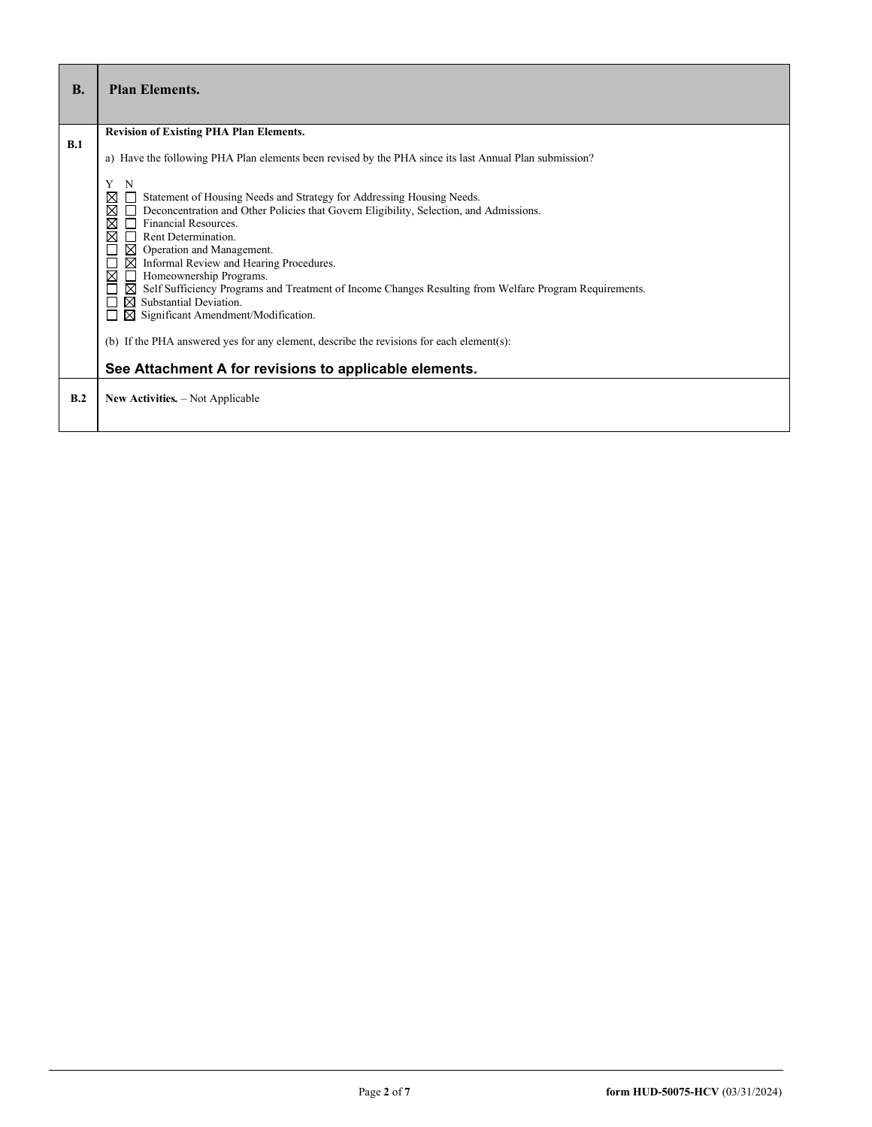| <b>B.</b> | <b>Plan Elements.</b>                                                                                                                                                                                                                                                                                                                                                                                                                                                                                                                                                                                                                                                                                                                                                                                                                                                                                                              |
|-----------|------------------------------------------------------------------------------------------------------------------------------------------------------------------------------------------------------------------------------------------------------------------------------------------------------------------------------------------------------------------------------------------------------------------------------------------------------------------------------------------------------------------------------------------------------------------------------------------------------------------------------------------------------------------------------------------------------------------------------------------------------------------------------------------------------------------------------------------------------------------------------------------------------------------------------------|
| B.1       | <b>Revision of Existing PHA Plan Elements.</b><br>a) Have the following PHA Plan elements been revised by the PHA since its last Annual Plan submission?<br>Y<br>N<br>Statement of Housing Needs and Strategy for Addressing Housing Needs.<br>⊠<br>$\boxtimes$<br>Deconcentration and Other Policies that Govern Eligibility, Selection, and Admissions.<br>⊠<br>Financial Resources.<br>⊠<br>Rent Determination.<br>$\boxtimes$ Operation and Management.<br>$\boxtimes$ Informal Review and Hearing Procedures.<br>Homeownership Programs.<br>⊠<br>$\blacksquare$<br>Self Sufficiency Programs and Treatment of Income Changes Resulting from Welfare Program Requirements.<br>⋈<br>$\boxtimes$ Substantial Deviation.<br>$\boxtimes$ Significant Amendment/Modification.<br>(b) If the PHA answered yes for any element, describe the revisions for each element(s):<br>See Attachment A for revisions to applicable elements. |
| B.2       | New Activities. - Not Applicable                                                                                                                                                                                                                                                                                                                                                                                                                                                                                                                                                                                                                                                                                                                                                                                                                                                                                                   |

r

ī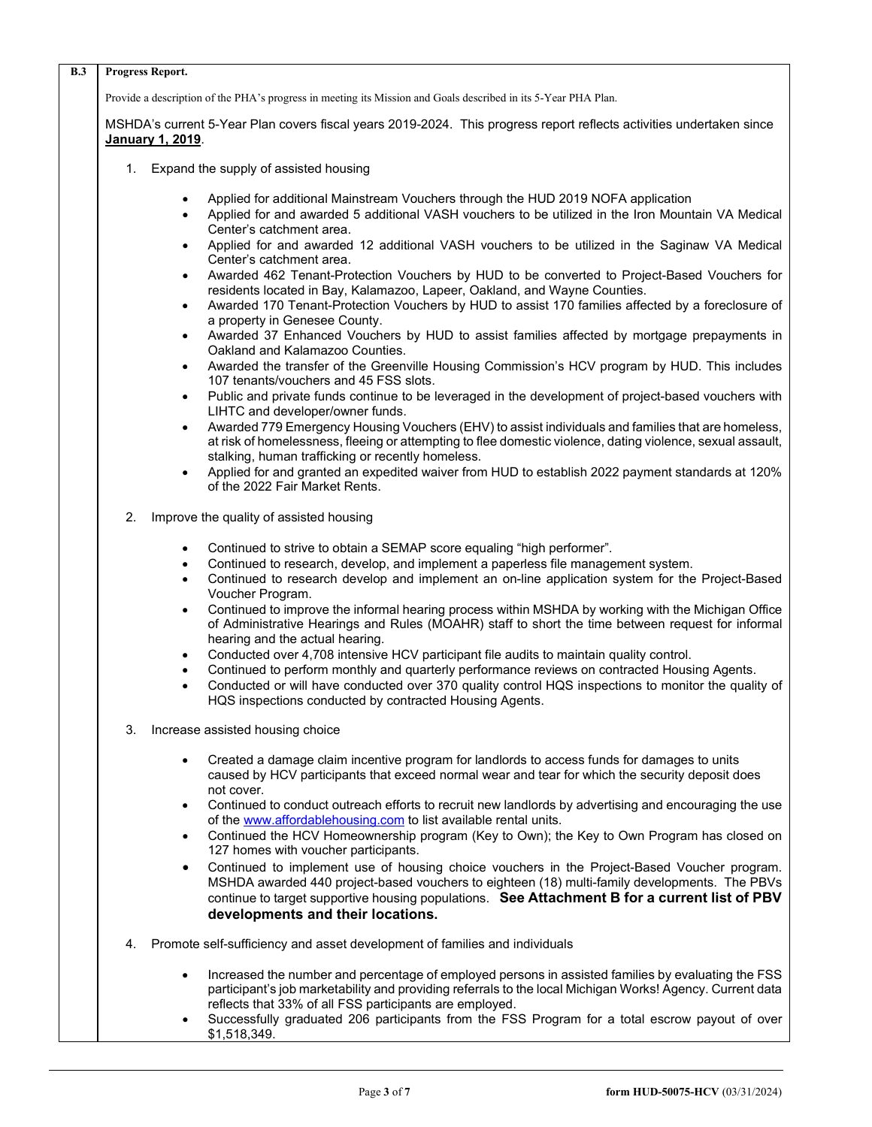| <b>B.3</b> |    | Progress Report.                                                                                                                                                                                                                                                                                                                                                                                 |
|------------|----|--------------------------------------------------------------------------------------------------------------------------------------------------------------------------------------------------------------------------------------------------------------------------------------------------------------------------------------------------------------------------------------------------|
|            |    | Provide a description of the PHA's progress in meeting its Mission and Goals described in its 5-Year PHA Plan.                                                                                                                                                                                                                                                                                   |
|            |    | MSHDA's current 5-Year Plan covers fiscal years 2019-2024. This progress report reflects activities undertaken since<br>January 1, 2019.                                                                                                                                                                                                                                                         |
|            | 1. | Expand the supply of assisted housing                                                                                                                                                                                                                                                                                                                                                            |
|            |    | Applied for additional Mainstream Vouchers through the HUD 2019 NOFA application<br>$\bullet$<br>Applied for and awarded 5 additional VASH vouchers to be utilized in the Iron Mountain VA Medical<br>$\bullet$<br>Center's catchment area.                                                                                                                                                      |
|            |    | Applied for and awarded 12 additional VASH vouchers to be utilized in the Saginaw VA Medical<br>$\bullet$<br>Center's catchment area.                                                                                                                                                                                                                                                            |
|            |    | Awarded 462 Tenant-Protection Vouchers by HUD to be converted to Project-Based Vouchers for<br>$\bullet$<br>residents located in Bay, Kalamazoo, Lapeer, Oakland, and Wayne Counties.                                                                                                                                                                                                            |
|            |    | Awarded 170 Tenant-Protection Vouchers by HUD to assist 170 families affected by a foreclosure of<br>$\bullet$<br>a property in Genesee County.                                                                                                                                                                                                                                                  |
|            |    | Awarded 37 Enhanced Vouchers by HUD to assist families affected by mortgage prepayments in<br>$\bullet$<br>Oakland and Kalamazoo Counties.                                                                                                                                                                                                                                                       |
|            |    | Awarded the transfer of the Greenville Housing Commission's HCV program by HUD. This includes<br>$\bullet$<br>107 tenants/vouchers and 45 FSS slots.                                                                                                                                                                                                                                             |
|            |    | Public and private funds continue to be leveraged in the development of project-based vouchers with<br>$\bullet$<br>LIHTC and developer/owner funds.                                                                                                                                                                                                                                             |
|            |    | Awarded 779 Emergency Housing Vouchers (EHV) to assist individuals and families that are homeless,<br>$\bullet$<br>at risk of homelessness, fleeing or attempting to flee domestic violence, dating violence, sexual assault,                                                                                                                                                                    |
|            |    | stalking, human trafficking or recently homeless.<br>Applied for and granted an expedited waiver from HUD to establish 2022 payment standards at 120%<br>$\bullet$<br>of the 2022 Fair Market Rents.                                                                                                                                                                                             |
|            | 2. | Improve the quality of assisted housing                                                                                                                                                                                                                                                                                                                                                          |
|            |    | Continued to strive to obtain a SEMAP score equaling "high performer".<br>$\bullet$<br>Continued to research, develop, and implement a paperless file management system.<br>$\bullet$<br>Continued to research develop and implement an on-line application system for the Project-Based<br>$\bullet$                                                                                            |
|            |    | Voucher Program.<br>Continued to improve the informal hearing process within MSHDA by working with the Michigan Office<br>$\bullet$<br>of Administrative Hearings and Rules (MOAHR) staff to short the time between request for informal<br>hearing and the actual hearing.                                                                                                                      |
|            |    | Conducted over 4,708 intensive HCV participant file audits to maintain quality control.<br>$\bullet$<br>Continued to perform monthly and quarterly performance reviews on contracted Housing Agents.<br>$\bullet$<br>Conducted or will have conducted over 370 quality control HQS inspections to monitor the quality of<br>$\bullet$<br>HQS inspections conducted by contracted Housing Agents. |
|            | 3. | Increase assisted housing choice                                                                                                                                                                                                                                                                                                                                                                 |
|            |    | Created a damage claim incentive program for landlords to access funds for damages to units<br>caused by HCV participants that exceed normal wear and tear for which the security deposit does<br>not cover.                                                                                                                                                                                     |
|            |    | Continued to conduct outreach efforts to recruit new landlords by advertising and encouraging the use<br>$\bullet$<br>of the www.affordablehousing.com to list available rental units.                                                                                                                                                                                                           |
|            |    | Continued the HCV Homeownership program (Key to Own); the Key to Own Program has closed on<br>$\bullet$<br>127 homes with voucher participants.                                                                                                                                                                                                                                                  |
|            |    | Continued to implement use of housing choice vouchers in the Project-Based Voucher program.<br>$\bullet$<br>MSHDA awarded 440 project-based vouchers to eighteen (18) multi-family developments. The PBVs                                                                                                                                                                                        |
|            |    | continue to target supportive housing populations. See Attachment B for a current list of PBV<br>developments and their locations.                                                                                                                                                                                                                                                               |
|            | 4. | Promote self-sufficiency and asset development of families and individuals                                                                                                                                                                                                                                                                                                                       |
|            |    | Increased the number and percentage of employed persons in assisted families by evaluating the FSS<br>$\bullet$<br>participant's job marketability and providing referrals to the local Michigan Works! Agency. Current data<br>reflects that 33% of all FSS participants are employed.                                                                                                          |
|            |    | Successfully graduated 206 participants from the FSS Program for a total escrow payout of over<br>\$1,518,349.                                                                                                                                                                                                                                                                                   |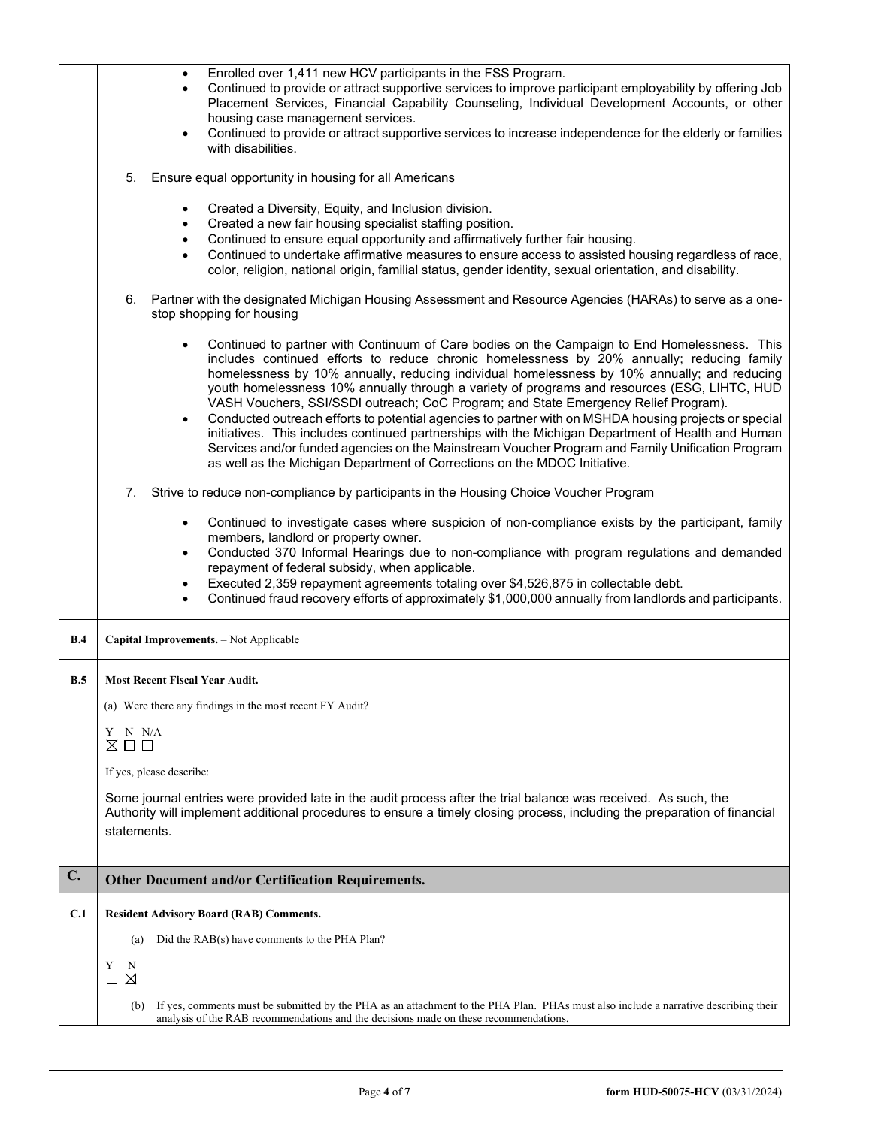|     | Enrolled over 1,411 new HCV participants in the FSS Program.<br>$\bullet$<br>Continued to provide or attract supportive services to improve participant employability by offering Job<br>$\bullet$<br>Placement Services, Financial Capability Counseling, Individual Development Accounts, or other<br>housing case management services.<br>Continued to provide or attract supportive services to increase independence for the elderly or families<br>with disabilities.<br>5.<br>Ensure equal opportunity in housing for all Americans                                                                                                                                                                                                                                                                                                                                        |
|-----|-----------------------------------------------------------------------------------------------------------------------------------------------------------------------------------------------------------------------------------------------------------------------------------------------------------------------------------------------------------------------------------------------------------------------------------------------------------------------------------------------------------------------------------------------------------------------------------------------------------------------------------------------------------------------------------------------------------------------------------------------------------------------------------------------------------------------------------------------------------------------------------|
|     | Created a Diversity, Equity, and Inclusion division.<br>$\bullet$<br>Created a new fair housing specialist staffing position.<br>$\bullet$<br>Continued to ensure equal opportunity and affirmatively further fair housing.<br>Continued to undertake affirmative measures to ensure access to assisted housing regardless of race,<br>color, religion, national origin, familial status, gender identity, sexual orientation, and disability.                                                                                                                                                                                                                                                                                                                                                                                                                                    |
|     | 6. Partner with the designated Michigan Housing Assessment and Resource Agencies (HARAs) to serve as a one-<br>stop shopping for housing                                                                                                                                                                                                                                                                                                                                                                                                                                                                                                                                                                                                                                                                                                                                          |
|     | Continued to partner with Continuum of Care bodies on the Campaign to End Homelessness. This<br>includes continued efforts to reduce chronic homelessness by 20% annually; reducing family<br>homelessness by 10% annually, reducing individual homelessness by 10% annually; and reducing<br>youth homelessness 10% annually through a variety of programs and resources (ESG, LIHTC, HUD<br>VASH Vouchers, SSI/SSDI outreach; CoC Program; and State Emergency Relief Program).<br>Conducted outreach efforts to potential agencies to partner with on MSHDA housing projects or special<br>initiatives. This includes continued partnerships with the Michigan Department of Health and Human<br>Services and/or funded agencies on the Mainstream Voucher Program and Family Unification Program<br>as well as the Michigan Department of Corrections on the MDOC Initiative. |
|     | 7.<br>Strive to reduce non-compliance by participants in the Housing Choice Voucher Program                                                                                                                                                                                                                                                                                                                                                                                                                                                                                                                                                                                                                                                                                                                                                                                       |
|     | Continued to investigate cases where suspicion of non-compliance exists by the participant, family<br>$\bullet$<br>members, landlord or property owner.<br>Conducted 370 Informal Hearings due to non-compliance with program regulations and demanded<br>$\bullet$<br>repayment of federal subsidy, when applicable.<br>Executed 2,359 repayment agreements totaling over \$4,526,875 in collectable debt.<br>Continued fraud recovery efforts of approximately \$1,000,000 annually from landlords and participants.                                                                                                                                                                                                                                                                                                                                                            |
| B.4 | Capital Improvements. - Not Applicable                                                                                                                                                                                                                                                                                                                                                                                                                                                                                                                                                                                                                                                                                                                                                                                                                                            |
| B.5 | <b>Most Recent Fiscal Year Audit.</b>                                                                                                                                                                                                                                                                                                                                                                                                                                                                                                                                                                                                                                                                                                                                                                                                                                             |
|     | (a) Were there any findings in the most recent FY Audit?                                                                                                                                                                                                                                                                                                                                                                                                                                                                                                                                                                                                                                                                                                                                                                                                                          |
|     | Y N N/A<br>⊠□□                                                                                                                                                                                                                                                                                                                                                                                                                                                                                                                                                                                                                                                                                                                                                                                                                                                                    |
|     | If yes, please describe:                                                                                                                                                                                                                                                                                                                                                                                                                                                                                                                                                                                                                                                                                                                                                                                                                                                          |
|     | Some journal entries were provided late in the audit process after the trial balance was received. As such, the<br>Authority will implement additional procedures to ensure a timely closing process, including the preparation of financial<br>statements.                                                                                                                                                                                                                                                                                                                                                                                                                                                                                                                                                                                                                       |
| C.  | <b>Other Document and/or Certification Requirements.</b>                                                                                                                                                                                                                                                                                                                                                                                                                                                                                                                                                                                                                                                                                                                                                                                                                          |
| C.1 | <b>Resident Advisory Board (RAB) Comments.</b>                                                                                                                                                                                                                                                                                                                                                                                                                                                                                                                                                                                                                                                                                                                                                                                                                                    |
|     | Did the RAB(s) have comments to the PHA Plan?<br>(a)                                                                                                                                                                                                                                                                                                                                                                                                                                                                                                                                                                                                                                                                                                                                                                                                                              |
|     | Y<br>N<br>$\Box$ $\times$                                                                                                                                                                                                                                                                                                                                                                                                                                                                                                                                                                                                                                                                                                                                                                                                                                                         |
|     | If yes, comments must be submitted by the PHA as an attachment to the PHA Plan. PHAs must also include a narrative describing their<br>(b)<br>analysis of the RAB recommendations and the decisions made on these recommendations.                                                                                                                                                                                                                                                                                                                                                                                                                                                                                                                                                                                                                                                |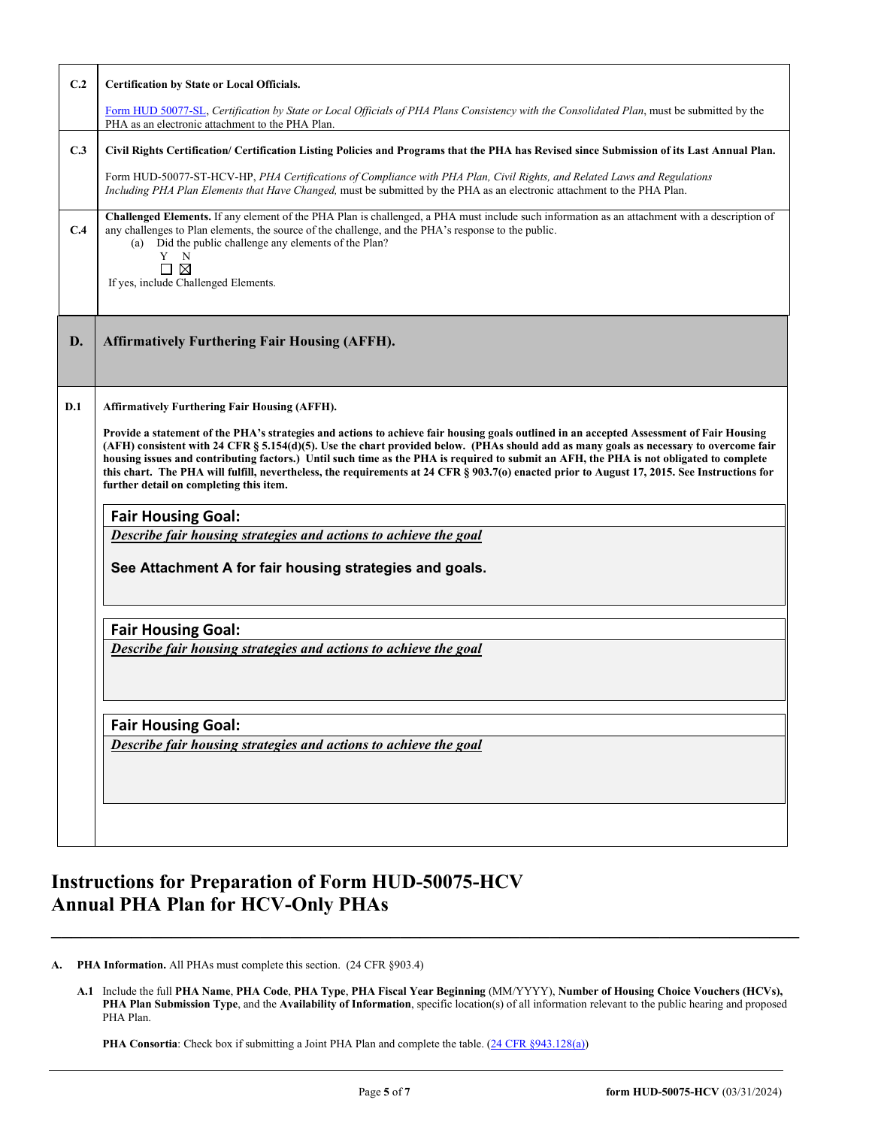| C.2 | <b>Certification by State or Local Officials.</b>                                                                                                                                                                                                                                                                                                                                                                                                                                                                                                                                                                        |  |  |  |
|-----|--------------------------------------------------------------------------------------------------------------------------------------------------------------------------------------------------------------------------------------------------------------------------------------------------------------------------------------------------------------------------------------------------------------------------------------------------------------------------------------------------------------------------------------------------------------------------------------------------------------------------|--|--|--|
|     | Form HUD 50077-SL, Certification by State or Local Officials of PHA Plans Consistency with the Consolidated Plan, must be submitted by the<br>PHA as an electronic attachment to the PHA Plan.                                                                                                                                                                                                                                                                                                                                                                                                                           |  |  |  |
| C.3 | Civil Rights Certification/ Certification Listing Policies and Programs that the PHA has Revised since Submission of its Last Annual Plan.                                                                                                                                                                                                                                                                                                                                                                                                                                                                               |  |  |  |
|     | Form HUD-50077-ST-HCV-HP, PHA Certifications of Compliance with PHA Plan, Civil Rights, and Related Laws and Regulations<br>Including PHA Plan Elements that Have Changed, must be submitted by the PHA as an electronic attachment to the PHA Plan.                                                                                                                                                                                                                                                                                                                                                                     |  |  |  |
| C.4 | Challenged Elements. If any element of the PHA Plan is challenged, a PHA must include such information as an attachment with a description of<br>any challenges to Plan elements, the source of the challenge, and the PHA's response to the public.<br>(a) Did the public challenge any elements of the Plan?<br>Y<br>N<br>⊠<br>П<br>If yes, include Challenged Elements.                                                                                                                                                                                                                                               |  |  |  |
| D.  | <b>Affirmatively Furthering Fair Housing (AFFH).</b>                                                                                                                                                                                                                                                                                                                                                                                                                                                                                                                                                                     |  |  |  |
| D.1 | <b>Affirmatively Furthering Fair Housing (AFFH).</b>                                                                                                                                                                                                                                                                                                                                                                                                                                                                                                                                                                     |  |  |  |
|     | Provide a statement of the PHA's strategies and actions to achieve fair housing goals outlined in an accepted Assessment of Fair Housing<br>(AFH) consistent with 24 CFR § 5.154(d)(5). Use the chart provided below. (PHAs should add as many goals as necessary to overcome fair<br>housing issues and contributing factors.) Until such time as the PHA is required to submit an AFH, the PHA is not obligated to complete<br>this chart. The PHA will fulfill, nevertheless, the requirements at 24 CFR § 903.7(o) enacted prior to August 17, 2015. See Instructions for<br>further detail on completing this item. |  |  |  |
|     | <b>Fair Housing Goal:</b>                                                                                                                                                                                                                                                                                                                                                                                                                                                                                                                                                                                                |  |  |  |
|     | Describe fair housing strategies and actions to achieve the goal                                                                                                                                                                                                                                                                                                                                                                                                                                                                                                                                                         |  |  |  |
|     | See Attachment A for fair housing strategies and goals.                                                                                                                                                                                                                                                                                                                                                                                                                                                                                                                                                                  |  |  |  |
|     | <b>Fair Housing Goal:</b>                                                                                                                                                                                                                                                                                                                                                                                                                                                                                                                                                                                                |  |  |  |
|     | Describe fair housing strategies and actions to achieve the goal                                                                                                                                                                                                                                                                                                                                                                                                                                                                                                                                                         |  |  |  |
|     | <b>Fair Housing Goal:</b>                                                                                                                                                                                                                                                                                                                                                                                                                                                                                                                                                                                                |  |  |  |
|     | Describe fair housing strategies and actions to achieve the goal                                                                                                                                                                                                                                                                                                                                                                                                                                                                                                                                                         |  |  |  |
|     |                                                                                                                                                                                                                                                                                                                                                                                                                                                                                                                                                                                                                          |  |  |  |

# **Instructions for Preparation of Form HUD-50075-HCV Annual PHA Plan for HCV-Only PHAs**

**A. PHA Information.** All PHAs must complete this section. (24 CFR §903.4)

**A.1** Include the full **PHA Name**, **PHA Code**, **PHA Type**, **PHA Fiscal Year Beginning** (MM/YYYY), **Number of Housing Choice Vouchers (HCVs), PHA Plan Submission Type**, and the **Availability of Information**, specific location(s) of all information relevant to the public hearing and proposed PHA Plan.

**\_\_\_\_\_\_\_\_\_\_\_\_\_\_\_\_\_\_\_\_\_\_\_\_\_\_\_\_\_\_\_\_\_\_\_\_\_\_\_\_\_\_\_\_\_\_\_\_\_\_\_\_\_\_\_\_\_\_\_\_\_\_\_\_\_\_\_\_\_\_\_\_\_\_\_**

**PHA Consortia**: Check box if submitting a Joint PHA Plan and complete the table. [\(24 CFR §943.128\(a\)\)](http://ecfr.gpoaccess.gov/cgi/t/text/text-idx?c=ecfr&sid=cc31cf1c3a2b84ba4ead75d35d258f67&rgn=div5&view=text&node=24:4.0.3.1.10&idno=24#24:4.0.3.1.10.2.5.7)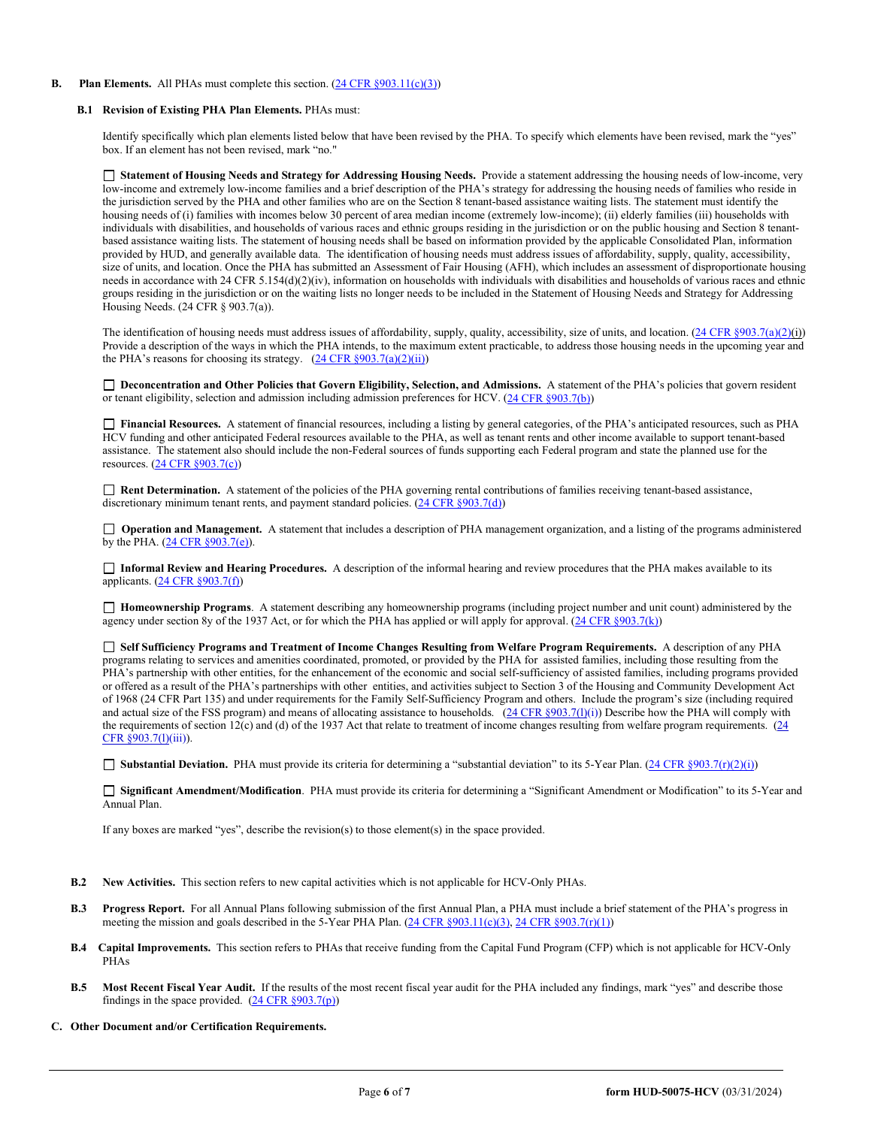## **B.** Plan **Elements.** All PHAs must complete this section. [\(24 CFR §903.11\(c\)\(3\)\)](http://ecfr.gpoaccess.gov/cgi/t/text/text-idx?c=ecfr&sid=c84b8750d7c9fcd46c0c7546aeb860cf&rgn=div5&view=text&node=24:4.0.3.1.3&idno=24#24:4.0.3.1.3.2.5.8)

#### **B.1 Revision of Existing PHA Plan Elements.** PHAs must:

Identify specifically which plan elements listed below that have been revised by the PHA. To specify which elements have been revised, mark the "yes" box. If an element has not been revised, mark "no."

 **Statement of Housing Needs and Strategy for Addressing Housing Needs.** Provide a statement addressing the housing needs of low-income, very low-income and extremely low-income families and a brief description of the PHA's strategy for addressing the housing needs of families who reside in the jurisdiction served by the PHA and other families who are on the Section 8 tenant-based assistance waiting lists. The statement must identify the housing needs of (i) families with incomes below 30 percent of area median income (extremely low-income); (ii) elderly families (iii) households with individuals with disabilities, and households of various races and ethnic groups residing in the jurisdiction or on the public housing and Section 8 tenantbased assistance waiting lists. The statement of housing needs shall be based on information provided by the applicable Consolidated Plan, information provided by HUD, and generally available data. The identification of housing needs must address issues of affordability, supply, quality, accessibility, size of units, and location. Once the PHA has submitted an Assessment of Fair Housing (AFH), which includes an assessment of disproportionate housing needs in accordance with 24 CFR 5.154(d)(2)(iv), information on households with individuals with disabilities and households of various races and ethnic groups residing in the jurisdiction or on the waiting lists no longer needs to be included in the Statement of Housing Needs and Strategy for Addressing Housing Needs. (24 CFR § 903.7(a)).

The identification of housing needs must address issues of affordability, supply, quality, accessibility, size of units, and location.  $(24 \text{ CFR } \text{§}903.7(a)(2)(i))$ Provide a description of the ways in which the PHA intends, to the maximum extent practicable, to address those housing needs in the upcoming year and the PHA's reasons for choosing its strategy.  $(24 \text{ CFR } \frac{§903.7(a)(2)(ii)}{i})$ 

□ Deconcentration and Other Policies that Govern Eligibility, Selection, and Admissions. A statement of the PHA's policies that govern resident or tenant eligibility, selection and admission including admission preferences for HCV. [\(24 CFR §903.7\(b\)\)](http://ecfr.gpoaccess.gov/cgi/t/text/text-idx?c=ecfr&sid=b44bf19bef93dd31287608d2c687e271&rgn=div5&view=text&node=24:4.0.3.1.3&idno=24#24:4.0.3.1.3.2.5.5)

 **Financial Resources.** A statement of financial resources, including a listing by general categories, of the PHA's anticipated resources, such as PHA HCV funding and other anticipated Federal resources available to the PHA, as well as tenant rents and other income available to support tenant-based assistance. The statement also should include the non-Federal sources of funds supporting each Federal program and state the planned use for the resources. [\(24 CFR §903.7\(c\)\)](http://ecfr.gpoaccess.gov/cgi/t/text/text-idx?c=ecfr&sid=b44bf19bef93dd31287608d2c687e271&rgn=div5&view=text&node=24:4.0.3.1.3&idno=24)

 **Rent Determination.** A statement of the policies of the PHA governing rental contributions of families receiving tenant-based assistance, discretionary minimum tenant rents, and payment standard policies. [\(24 CFR §903.7\(d\)\)](http://ecfr.gpoaccess.gov/cgi/t/text/text-idx?c=ecfr&sid=b44bf19bef93dd31287608d2c687e271&rgn=div5&view=text&node=24:4.0.3.1.3&idno=24#24:4.0.3.1.3.2.5.5)

**Operation and Management.** A statement that includes a description of PHA management organization, and a listing of the programs administered by the PHA. [\(24 CFR §903.7\(e\)\)](http://ecfr.gpoaccess.gov/cgi/t/text/text-idx?c=ecfr&sid=b44bf19bef93dd31287608d2c687e271&rgn=div5&view=text&node=24:4.0.3.1.3&idno=24#24:4.0.3.1.3.2.5.5).

 **Informal Review and Hearing Procedures.** A description of the informal hearing and review procedures that the PHA makes available to its applicants. [\(24 CFR §903.7\(f\)\)](http://ecfr.gpoaccess.gov/cgi/t/text/text-idx?c=ecfr&sid=b44bf19bef93dd31287608d2c687e271&rgn=div5&view=text&node=24:4.0.3.1.3&idno=24#24:4.0.3.1.3.2.5.5)

 **Homeownership Programs**. A statement describing any homeownership programs (including project number and unit count) administered by the agency under section 8y of the 1937 Act, or for which the PHA has applied or will apply for approval. [\(24 CFR §903.7\(k\)\)](http://ecfr.gpoaccess.gov/cgi/t/text/text-idx?c=ecfr&sid=b44bf19bef93dd31287608d2c687e271&rgn=div5&view=text&node=24:4.0.3.1.3&idno=24#24:4.0.3.1.3.2.5.5)

 **Self Sufficiency Programs and Treatment of Income Changes Resulting from Welfare Program Requirements.** A description of any PHA programs relating to services and amenities coordinated, promoted, or provided by the PHA for assisted families, including those resulting from the PHA's partnership with other entities, for the enhancement of the economic and social self-sufficiency of assisted families, including programs provided or offered as a result of the PHA's partnerships with other entities, and activities subject to Section 3 of the Housing and Community Development Act of 1968 (24 CFR Part 135) and under requirements for the Family Self-Sufficiency Program and others. Include the program's size (including required and actual size of the FSS program) and means of allocating assistance to households.  $(24 \text{ CFR } $903.7(l)(i))$  Describe how the PHA will comply with the requirements of section 12(c) and (d) of the 1937 Act that relate to treatment of income changes resulting from welfare program requirements. (24 [CFR §903.7\(l\)\(](http://ecfr.gpoaccess.gov/cgi/t/text/text-idx?c=ecfr&sid=13734845220744370804c20da2294a03&rgn=div5&view=text&node=24:4.0.3.1.3&idno=24#24:4.0.3.1.3.2.5.5)iii)).

■ **Substantial Deviation.** PHA must provide its criteria for determining a "substantial deviation" to its 5-Year Plan. [\(24 CFR §903.7\(r\)\(2\)\(i\)\)](http://ecfr.gpoaccess.gov/cgi/t/text/text-idx?c=ecfr&sid=13734845220744370804c20da2294a03&rgn=div5&view=text&node=24:4.0.3.1.3&idno=24#24:4.0.3.1.3.2.5.5)

 **Significant Amendment/Modification**. PHA must provide its criteria for determining a "Significant Amendment or Modification" to its 5-Year and Annual Plan.

If any boxes are marked "yes", describe the revision(s) to those element(s) in the space provided.

- **B.2 New Activities.** This section refers to new capital activities which is not applicable for HCV-Only PHAs.
- **B.3 Progress Report.** For all Annual Plans following submission of the first Annual Plan, a PHA must include a brief statement of the PHA's progress in meeting the mission and goals described in the 5-Year PHA Plan. [\(24 CFR §903.11\(c\)\(3\),](http://ecfr.gpoaccess.gov/cgi/t/text/text-idx?c=ecfr&sid=c84b8750d7c9fcd46c0c7546aeb860cf&rgn=div5&view=text&node=24:4.0.3.1.3&idno=24#24:4.0.3.1.3.2.5.7) [24 CFR §903.7\(r\)\(1\)\)](http://ecfr.gpoaccess.gov/cgi/t/text/text-idx?c=ecfr&sid=663ef5e048922c731853f513acbdfa81&rgn=div5&view=text&node=24:4.0.3.1.3&idno=24#24:4.0.3.1.3.2.5.5)
- **B.4 Capital Improvements.** This section refers to PHAs that receive funding from the Capital Fund Program (CFP) which is not applicable for HCV-Only PHAs
- **B.5 Most Recent Fiscal Year Audit.** If the results of the most recent fiscal year audit for the PHA included any findings, mark "yes" and describe those findings in the space provided.  $(24 \text{ CFR } \frac{§903.7(p)}{p})$
- **C. Other Document and/or Certification Requirements.**